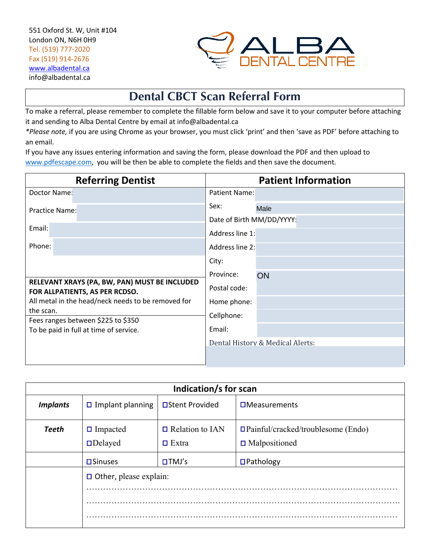

## **Dental CBCT Scan Referral Form**

To make a referral, please remember to complete the fillable form below and save it to your computer before attaching it and sending to Alba Dental Centre by email at info@albadental.ca

*\*Please note,* if you are using Chrome as your browser, you must click 'print' and then 'save as PDF' before attaching to an email.

If you have any issues entering information and saving the form, please download the PDF and then upload to www.pdfescape.com, you will be then be able to complete the fields and then save the document.

| <b>Referring Dentist</b>                                                        | <b>Patient Information</b>       |
|---------------------------------------------------------------------------------|----------------------------------|
| Doctor Name:                                                                    | Patient Name:                    |
| Practice Name:                                                                  | Sex:<br>Male                     |
|                                                                                 | Date of Birth MM/DD/YYYY:        |
| Email:                                                                          | Address line 1:                  |
| Phone:                                                                          | Address line 2:                  |
|                                                                                 | City:                            |
|                                                                                 | Province:<br>ON                  |
| RELEVANT XRAYS (PA, BW, PAN) MUST BE INCLUDED<br>FOR ALLPATIENTS, AS PER RCDSO. | Postal code:                     |
| All metal in the head/neck needs to be removed for                              | Home phone:                      |
| the scan.<br>Fees ranges between \$225 to \$350                                 | Cellphone:                       |
| To be paid in full at time of service.                                          | Email:                           |
|                                                                                 | Dental History & Medical Alerts: |
|                                                                                 |                                  |

| Indication/s for scan |                                   |                                        |                                                                   |  |  |  |  |
|-----------------------|-----------------------------------|----------------------------------------|-------------------------------------------------------------------|--|--|--|--|
| <b>Implants</b>       | $\Box$ Implant planning           | □Stent Provided                        | $\square$ Measurements                                            |  |  |  |  |
| <b>Teeth</b>          | $\Box$ Impacted<br>$\Box$ Delayed | $\Box$ Relation to IAN<br>$\Box$ Extra | $\Box$ Painful/cracked/troublesome (Endo)<br>$\Box$ Malpositioned |  |  |  |  |
|                       | $\square$ Sinuses                 | $\Box TMJ's$                           | $\Box$ Pathology                                                  |  |  |  |  |
|                       | $\Box$ Other, please explain:     |                                        |                                                                   |  |  |  |  |
|                       |                                   |                                        |                                                                   |  |  |  |  |
|                       |                                   |                                        |                                                                   |  |  |  |  |